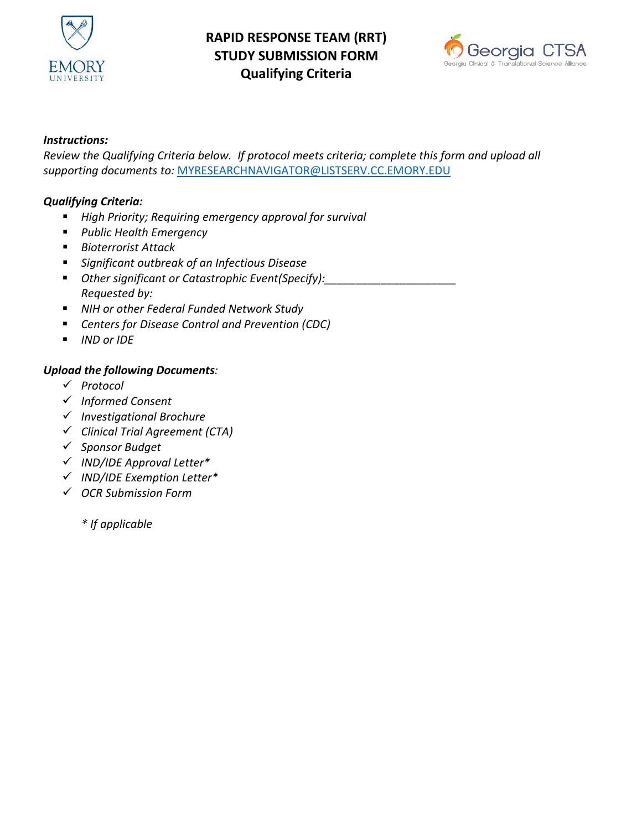

# **RAPID RESPONSE TEAM (RRT) STUDY SUBMISSION FORM Qualifying Criteria**



## *Instructions:*

*Review the Qualifying Criteria below. If protocol meets criteria; complete this form and upload all supporting documents to:* [MYRESEARCHNAVIGATOR@LISTSERV.CC.EMORY.EDU](mailto:MYRESEARCHNAVIGATOR@LISTSERV.CC.EMORY.EDU)

### *Qualifying Criteria:*

- *High Priority; Requiring emergency approval for survival*
- *Public Health Emergency*
- *Bioterrorist Attack*
- *Significant outbreak of an Infectious Disease*
- *Other significant or Catastrophic Event(Specify):\_\_\_\_\_\_\_\_\_\_\_\_\_\_\_\_\_\_\_\_\_ Requested by:*
- *NIH or other Federal Funded Network Study*
- *Centers for Disease Control and Prevention (CDC)*
- *IND or IDE*

#### *Upload the following Documents:*

- *Protocol*
- *Informed Consent*
- *Investigational Brochure*
- *Clinical Trial Agreement (CTA)*
- *Sponsor Budget*
- *IND/IDE Approval Letter\**
- *IND/IDE Exemption Letter\**
- *OCR Submission Form*

*\* If applicable*